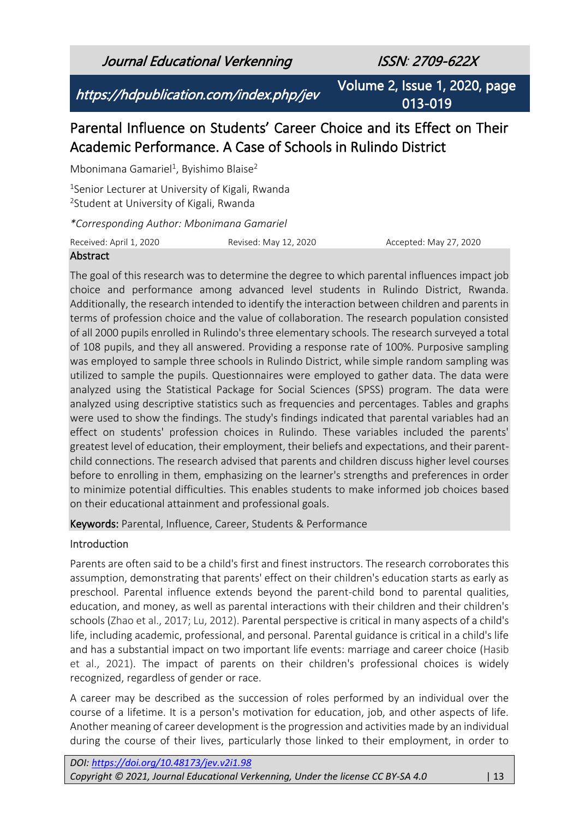Journal Educational Verkenning ISSN: 2709-622X

https://hdpublication.com/index.php/jev

Volume 2, Issue 1, 2020, page 013-019

# Parental Influence on Students' Career Choice and its Effect on Their Academic Performance. A Case of Schools in Rulindo District

Mbonimana Gamariel<sup>1</sup>, Byishimo Blaise<sup>2</sup>

<sup>1</sup>Senior Lecturer at University of Kigali, Rwanda <sup>2</sup>Student at University of Kigali, Rwanda

*\*Corresponding Author: Mbonimana Gamariel*

Received: April 1, 2020 Revised: May 12, 2020 Accepted: May 27, 2020

#### Abstract

The goal of this research was to determine the degree to which parental influences impact job choice and performance among advanced level students in Rulindo District, Rwanda. Additionally, the research intended to identify the interaction between children and parents in terms of profession choice and the value of collaboration. The research population consisted of all 2000 pupils enrolled in Rulindo's three elementary schools. The research surveyed a total of 108 pupils, and they all answered. Providing a response rate of 100%. Purposive sampling was employed to sample three schools in Rulindo District, while simple random sampling was utilized to sample the pupils. Questionnaires were employed to gather data. The data were analyzed using the Statistical Package for Social Sciences (SPSS) program. The data were analyzed using descriptive statistics such as frequencies and percentages. Tables and graphs were used to show the findings. The study's findings indicated that parental variables had an effect on students' profession choices in Rulindo. These variables included the parents' greatest level of education, their employment, their beliefs and expectations, and their parentchild connections. The research advised that parents and children discuss higher level courses before to enrolling in them, emphasizing on the learner's strengths and preferences in order to minimize potential difficulties. This enables students to make informed job choices based on their educational attainment and professional goals.

Keywords: Parental, Influence, Career, Students & Performance

#### Introduction

Parents are often said to be a child's first and finest instructors. The research corroborates this assumption, demonstrating that parents' effect on their children's education starts as early as preschool. Parental influence extends beyond the parent-child bond to parental qualities, education, and money, as well as parental interactions with their children and their children's schools (Zhao et al., 2017; Lu, 2012). Parental perspective is critical in many aspects of a child's life, including academic, professional, and personal. Parental guidance is critical in a child's life and has a substantial impact on two important life events: marriage and career choice (Hasib et al., 2021). The impact of parents on their children's professional choices is widely recognized, regardless of gender or race.

A career may be described as the succession of roles performed by an individual over the course of a lifetime. It is a person's motivation for education, job, and other aspects of life. Another meaning of career development is the progression and activities made by an individual during the course of their lives, particularly those linked to their employment, in order to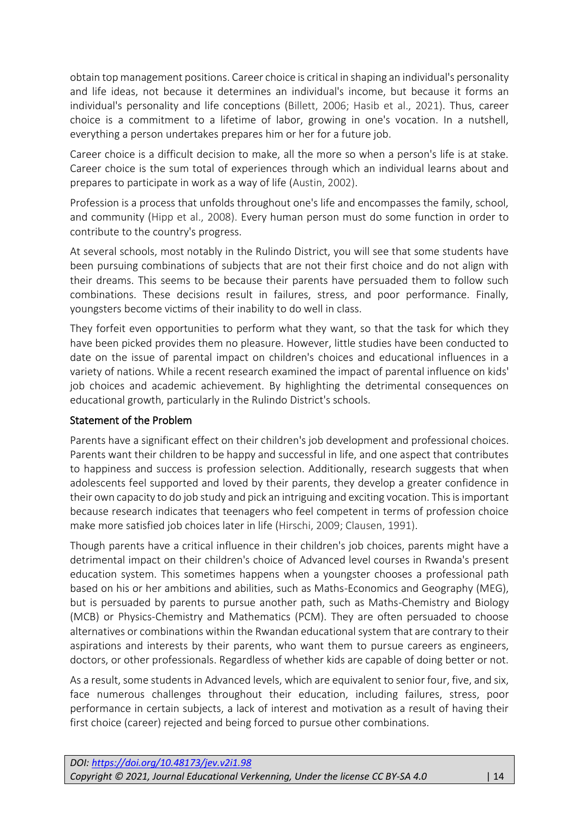obtain top management positions. Career choice is critical in shaping an individual's personality and life ideas, not because it determines an individual's income, but because it forms an individual's personality and life conceptions (Billett, 2006; Hasib et al., 2021). Thus, career choice is a commitment to a lifetime of labor, growing in one's vocation. In a nutshell, everything a person undertakes prepares him or her for a future job.

Career choice is a difficult decision to make, all the more so when a person's life is at stake. Career choice is the sum total of experiences through which an individual learns about and prepares to participate in work as a way of life (Austin, 2002).

Profession is a process that unfolds throughout one's life and encompasses the family, school, and community (Hipp et al., 2008). Every human person must do some function in order to contribute to the country's progress.

At several schools, most notably in the Rulindo District, you will see that some students have been pursuing combinations of subjects that are not their first choice and do not align with their dreams. This seems to be because their parents have persuaded them to follow such combinations. These decisions result in failures, stress, and poor performance. Finally, youngsters become victims of their inability to do well in class.

They forfeit even opportunities to perform what they want, so that the task for which they have been picked provides them no pleasure. However, little studies have been conducted to date on the issue of parental impact on children's choices and educational influences in a variety of nations. While a recent research examined the impact of parental influence on kids' job choices and academic achievement. By highlighting the detrimental consequences on educational growth, particularly in the Rulindo District's schools.

#### Statement of the Problem

Parents have a significant effect on their children's job development and professional choices. Parents want their children to be happy and successful in life, and one aspect that contributes to happiness and success is profession selection. Additionally, research suggests that when adolescents feel supported and loved by their parents, they develop a greater confidence in their own capacity to do job study and pick an intriguing and exciting vocation. This is important because research indicates that teenagers who feel competent in terms of profession choice make more satisfied job choices later in life (Hirschi, 2009; Clausen, 1991).

Though parents have a critical influence in their children's job choices, parents might have a detrimental impact on their children's choice of Advanced level courses in Rwanda's present education system. This sometimes happens when a youngster chooses a professional path based on his or her ambitions and abilities, such as Maths-Economics and Geography (MEG), but is persuaded by parents to pursue another path, such as Maths-Chemistry and Biology (MCB) or Physics-Chemistry and Mathematics (PCM). They are often persuaded to choose alternatives or combinations within the Rwandan educational system that are contrary to their aspirations and interests by their parents, who want them to pursue careers as engineers, doctors, or other professionals. Regardless of whether kids are capable of doing better or not.

As a result, some students in Advanced levels, which are equivalent to senior four, five, and six, face numerous challenges throughout their education, including failures, stress, poor performance in certain subjects, a lack of interest and motivation as a result of having their first choice (career) rejected and being forced to pursue other combinations.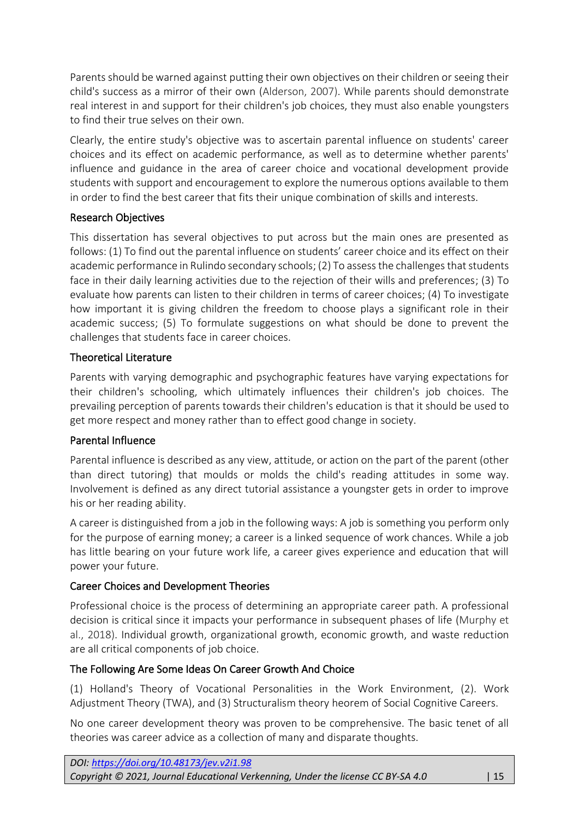Parents should be warned against putting their own objectives on their children or seeing their child's success as a mirror of their own (Alderson, 2007). While parents should demonstrate real interest in and support for their children's job choices, they must also enable youngsters to find their true selves on their own.

Clearly, the entire study's objective was to ascertain parental influence on students' career choices and its effect on academic performance, as well as to determine whether parents' influence and guidance in the area of career choice and vocational development provide students with support and encouragement to explore the numerous options available to them in order to find the best career that fits their unique combination of skills and interests.

#### Research Objectives

This dissertation has several objectives to put across but the main ones are presented as follows: (1) To find out the parental influence on students' career choice and its effect on their academic performance in Rulindo secondary schools; (2) To assess the challenges that students face in their daily learning activities due to the rejection of their wills and preferences; (3) To evaluate how parents can listen to their children in terms of career choices; (4) To investigate how important it is giving children the freedom to choose plays a significant role in their academic success; (5) To formulate suggestions on what should be done to prevent the challenges that students face in career choices.

## Theoretical Literature

Parents with varying demographic and psychographic features have varying expectations for their children's schooling, which ultimately influences their children's job choices. The prevailing perception of parents towards their children's education is that it should be used to get more respect and money rather than to effect good change in society.

# Parental Influence

Parental influence is described as any view, attitude, or action on the part of the parent (other than direct tutoring) that moulds or molds the child's reading attitudes in some way. Involvement is defined as any direct tutorial assistance a youngster gets in order to improve his or her reading ability.

A career is distinguished from a job in the following ways: A job is something you perform only for the purpose of earning money; a career is a linked sequence of work chances. While a job has little bearing on your future work life, a career gives experience and education that will power your future.

# Career Choices and Development Theories

Professional choice is the process of determining an appropriate career path. A professional decision is critical since it impacts your performance in subsequent phases of life (Murphy et al., 2018). Individual growth, organizational growth, economic growth, and waste reduction are all critical components of job choice.

# The Following Are Some Ideas On Career Growth And Choice

(1) Holland's Theory of Vocational Personalities in the Work Environment, (2). Work Adjustment Theory (TWA), and (3) Structuralism theory heorem of Social Cognitive Careers.

No one career development theory was proven to be comprehensive. The basic tenet of all theories was career advice as a collection of many and disparate thoughts.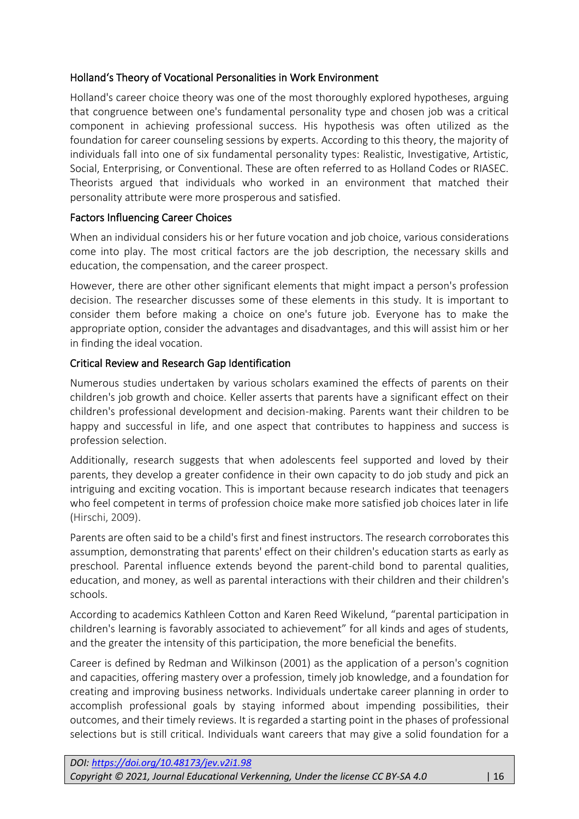### Holland's Theory of Vocational Personalities in Work Environment

Holland's career choice theory was one of the most thoroughly explored hypotheses, arguing that congruence between one's fundamental personality type and chosen job was a critical component in achieving professional success. His hypothesis was often utilized as the foundation for career counseling sessions by experts. According to this theory, the majority of individuals fall into one of six fundamental personality types: Realistic, Investigative, Artistic, Social, Enterprising, or Conventional. These are often referred to as Holland Codes or RIASEC. Theorists argued that individuals who worked in an environment that matched their personality attribute were more prosperous and satisfied.

#### Factors Influencing Career Choices

When an individual considers his or her future vocation and job choice, various considerations come into play. The most critical factors are the job description, the necessary skills and education, the compensation, and the career prospect.

However, there are other other significant elements that might impact a person's profession decision. The researcher discusses some of these elements in this study. It is important to consider them before making a choice on one's future job. Everyone has to make the appropriate option, consider the advantages and disadvantages, and this will assist him or her in finding the ideal vocation.

#### Critical Review and Research Gap Identification

Numerous studies undertaken by various scholars examined the effects of parents on their children's job growth and choice. Keller asserts that parents have a significant effect on their children's professional development and decision-making. Parents want their children to be happy and successful in life, and one aspect that contributes to happiness and success is profession selection.

Additionally, research suggests that when adolescents feel supported and loved by their parents, they develop a greater confidence in their own capacity to do job study and pick an intriguing and exciting vocation. This is important because research indicates that teenagers who feel competent in terms of profession choice make more satisfied job choices later in life (Hirschi, 2009).

Parents are often said to be a child's first and finest instructors. The research corroborates this assumption, demonstrating that parents' effect on their children's education starts as early as preschool. Parental influence extends beyond the parent-child bond to parental qualities, education, and money, as well as parental interactions with their children and their children's schools.

According to academics Kathleen Cotton and Karen Reed Wikelund, "parental participation in children's learning is favorably associated to achievement" for all kinds and ages of students, and the greater the intensity of this participation, the more beneficial the benefits.

Career is defined by Redman and Wilkinson (2001) as the application of a person's cognition and capacities, offering mastery over a profession, timely job knowledge, and a foundation for creating and improving business networks. Individuals undertake career planning in order to accomplish professional goals by staying informed about impending possibilities, their outcomes, and their timely reviews. It is regarded a starting point in the phases of professional selections but is still critical. Individuals want careers that may give a solid foundation for a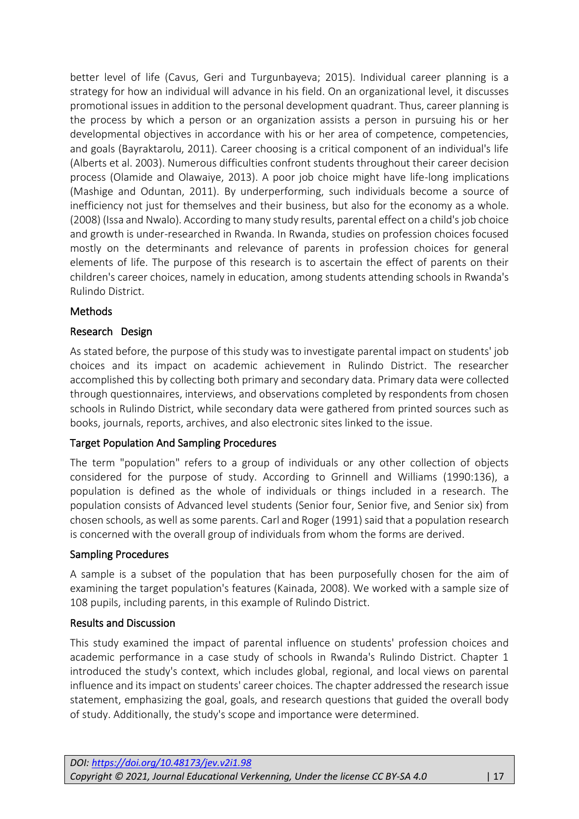better level of life (Cavus, Geri and Turgunbayeva; 2015). Individual career planning is a strategy for how an individual will advance in his field. On an organizational level, it discusses promotional issues in addition to the personal development quadrant. Thus, career planning is the process by which a person or an organization assists a person in pursuing his or her developmental objectives in accordance with his or her area of competence, competencies, and goals (Bayraktarolu, 2011). Career choosing is a critical component of an individual's life (Alberts et al. 2003). Numerous difficulties confront students throughout their career decision process (Olamide and Olawaiye, 2013). A poor job choice might have life-long implications (Mashige and Oduntan, 2011). By underperforming, such individuals become a source of inefficiency not just for themselves and their business, but also for the economy as a whole. (2008) (Issa and Nwalo). According to many study results, parental effect on a child's job choice and growth is under-researched in Rwanda. In Rwanda, studies on profession choices focused mostly on the determinants and relevance of parents in profession choices for general elements of life. The purpose of this research is to ascertain the effect of parents on their children's career choices, namely in education, among students attending schools in Rwanda's Rulindo District.

#### **Methods**

## Research Design

As stated before, the purpose of this study was to investigate parental impact on students' job choices and its impact on academic achievement in Rulindo District. The researcher accomplished this by collecting both primary and secondary data. Primary data were collected through questionnaires, interviews, and observations completed by respondents from chosen schools in Rulindo District, while secondary data were gathered from printed sources such as books, journals, reports, archives, and also electronic sites linked to the issue.

#### Target Population And Sampling Procedures

The term "population" refers to a group of individuals or any other collection of objects considered for the purpose of study. According to Grinnell and Williams (1990:136), a population is defined as the whole of individuals or things included in a research. The population consists of Advanced level students (Senior four, Senior five, and Senior six) from chosen schools, as well as some parents. Carl and Roger (1991) said that a population research is concerned with the overall group of individuals from whom the forms are derived.

#### Sampling Procedures

A sample is a subset of the population that has been purposefully chosen for the aim of examining the target population's features (Kainada, 2008). We worked with a sample size of 108 pupils, including parents, in this example of Rulindo District.

#### Results and Discussion

This study examined the impact of parental influence on students' profession choices and academic performance in a case study of schools in Rwanda's Rulindo District. Chapter 1 introduced the study's context, which includes global, regional, and local views on parental influence and its impact on students' career choices. The chapter addressed the research issue statement, emphasizing the goal, goals, and research questions that guided the overall body of study. Additionally, the study's scope and importance were determined.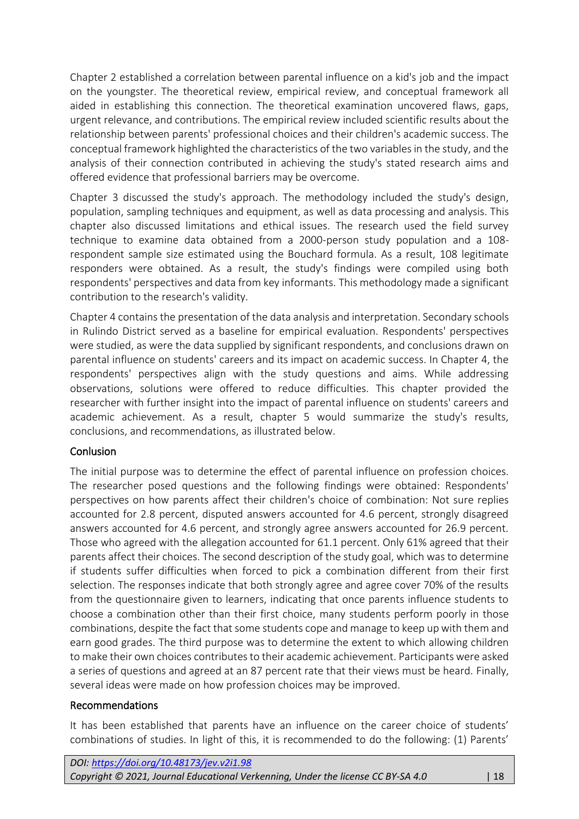Chapter 2 established a correlation between parental influence on a kid's job and the impact on the youngster. The theoretical review, empirical review, and conceptual framework all aided in establishing this connection. The theoretical examination uncovered flaws, gaps, urgent relevance, and contributions. The empirical review included scientific results about the relationship between parents' professional choices and their children's academic success. The conceptual framework highlighted the characteristics of the two variables in the study, and the analysis of their connection contributed in achieving the study's stated research aims and offered evidence that professional barriers may be overcome.

Chapter 3 discussed the study's approach. The methodology included the study's design, population, sampling techniques and equipment, as well as data processing and analysis. This chapter also discussed limitations and ethical issues. The research used the field survey technique to examine data obtained from a 2000-person study population and a 108 respondent sample size estimated using the Bouchard formula. As a result, 108 legitimate responders were obtained. As a result, the study's findings were compiled using both respondents' perspectives and data from key informants. This methodology made a significant contribution to the research's validity.

Chapter 4 contains the presentation of the data analysis and interpretation. Secondary schools in Rulindo District served as a baseline for empirical evaluation. Respondents' perspectives were studied, as were the data supplied by significant respondents, and conclusions drawn on parental influence on students' careers and its impact on academic success. In Chapter 4, the respondents' perspectives align with the study questions and aims. While addressing observations, solutions were offered to reduce difficulties. This chapter provided the researcher with further insight into the impact of parental influence on students' careers and academic achievement. As a result, chapter 5 would summarize the study's results, conclusions, and recommendations, as illustrated below.

#### Conlusion

The initial purpose was to determine the effect of parental influence on profession choices. The researcher posed questions and the following findings were obtained: Respondents' perspectives on how parents affect their children's choice of combination: Not sure replies accounted for 2.8 percent, disputed answers accounted for 4.6 percent, strongly disagreed answers accounted for 4.6 percent, and strongly agree answers accounted for 26.9 percent. Those who agreed with the allegation accounted for 61.1 percent. Only 61% agreed that their parents affect their choices. The second description of the study goal, which was to determine if students suffer difficulties when forced to pick a combination different from their first selection. The responses indicate that both strongly agree and agree cover 70% of the results from the questionnaire given to learners, indicating that once parents influence students to choose a combination other than their first choice, many students perform poorly in those combinations, despite the fact that some students cope and manage to keep up with them and earn good grades. The third purpose was to determine the extent to which allowing children to make their own choices contributes to their academic achievement. Participants were asked a series of questions and agreed at an 87 percent rate that their views must be heard. Finally, several ideas were made on how profession choices may be improved.

#### Recommendations

It has been established that parents have an influence on the career choice of students' combinations of studies. In light of this, it is recommended to do the following: (1) Parents'